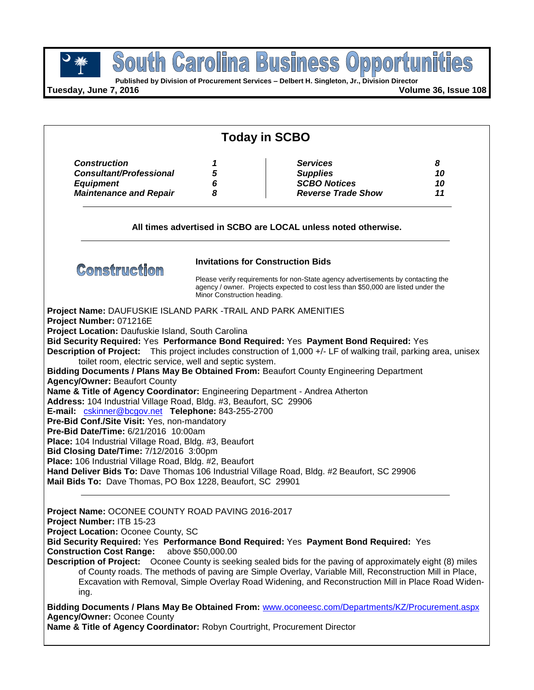



**Tuesday, June 7, 2016 Volume 36, Issue 108**

|                                                                                                                                                                                                                                                                                                                                                                                                                                                                                                                    | <b>Today in SCBO</b>                     |                                                                                                                                                                                                                                                                                                     |          |  |  |  |
|--------------------------------------------------------------------------------------------------------------------------------------------------------------------------------------------------------------------------------------------------------------------------------------------------------------------------------------------------------------------------------------------------------------------------------------------------------------------------------------------------------------------|------------------------------------------|-----------------------------------------------------------------------------------------------------------------------------------------------------------------------------------------------------------------------------------------------------------------------------------------------------|----------|--|--|--|
| <b>Construction</b>                                                                                                                                                                                                                                                                                                                                                                                                                                                                                                | 1                                        | <b>Services</b>                                                                                                                                                                                                                                                                                     | 8        |  |  |  |
| <b>Consultant/Professional</b>                                                                                                                                                                                                                                                                                                                                                                                                                                                                                     | 5                                        | <b>Supplies</b>                                                                                                                                                                                                                                                                                     | 10       |  |  |  |
| <b>Equipment</b>                                                                                                                                                                                                                                                                                                                                                                                                                                                                                                   | 6<br>8                                   | <b>SCBO Notices</b><br><b>Reverse Trade Show</b>                                                                                                                                                                                                                                                    | 10<br>11 |  |  |  |
| <b>Maintenance and Repair</b>                                                                                                                                                                                                                                                                                                                                                                                                                                                                                      |                                          |                                                                                                                                                                                                                                                                                                     |          |  |  |  |
|                                                                                                                                                                                                                                                                                                                                                                                                                                                                                                                    |                                          | All times advertised in SCBO are LOCAL unless noted otherwise.                                                                                                                                                                                                                                      |          |  |  |  |
| <b>Construction</b>                                                                                                                                                                                                                                                                                                                                                                                                                                                                                                | <b>Invitations for Construction Bids</b> |                                                                                                                                                                                                                                                                                                     |          |  |  |  |
|                                                                                                                                                                                                                                                                                                                                                                                                                                                                                                                    |                                          | Please verify requirements for non-State agency advertisements by contacting the<br>agency / owner. Projects expected to cost less than \$50,000 are listed under the<br>Minor Construction heading.                                                                                                |          |  |  |  |
| Project Location: Daufuskie Island, South Carolina<br>toilet room, electric service, well and septic system.<br><b>Agency/Owner: Beaufort County</b><br>Name & Title of Agency Coordinator: Engineering Department - Andrea Atherton<br>Address: 104 Industrial Village Road, Bldg. #3, Beaufort, SC 29906<br>E-mail: cskinner@bcgov.net Telephone: 843-255-2700<br>Pre-Bid Conf./Site Visit: Yes, non-mandatory<br>Pre-Bid Date/Time: 6/21/2016 10:00am<br>Place: 104 Industrial Village Road, Bldg. #3, Beaufort | Bid Closing Date/Time: 7/12/2016 3:00pm  | Bid Security Required: Yes Performance Bond Required: Yes Payment Bond Required: Yes<br>Description of Project: This project includes construction of 1,000 +/- LF of walking trail, parking area, unisex<br>Bidding Documents / Plans May Be Obtained From: Beaufort County Engineering Department |          |  |  |  |

**Bid Security Required:** Yes **Performance Bond Required:** Yes **Payment Bond Required:** Yes **Construction Cost Range:** above \$50,000.00

**Description of Project:** Oconee County is seeking sealed bids for the paving of approximately eight (8) miles of County roads. The methods of paving are Simple Overlay, Variable Mill, Reconstruction Mill in Place, Excavation with Removal, Simple Overlay Road Widening, and Reconstruction Mill in Place Road Widening.

**Bidding Documents / Plans May Be Obtained From:** [www.oconeesc.com/Departments/KZ/Procurement.aspx](http://www.oconeesc.com/Departments/KZ/Procurement.aspx) **Agency/Owner:** Oconee County

**Name & Title of Agency Coordinator:** Robyn Courtright, Procurement Director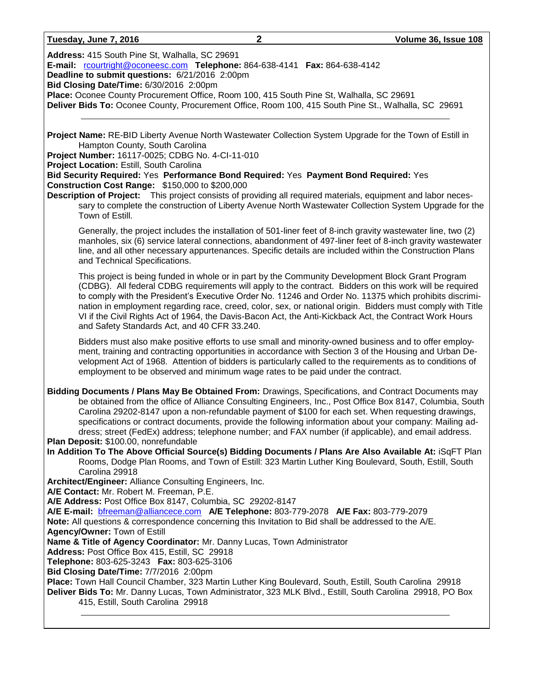### **Tuesday, June 7, 2016 2 Volume 36, Issue 108**

**Address:** 415 South Pine St, Walhalla, SC 29691

**E-mail:** [rcourtright@oconeesc.com](mailto:rcourtright@oconeesc.com) **Telephone:** 864-638-4141 **Fax:** 864-638-4142

**Deadline to submit questions:** 6/21/2016 2:00pm

**Bid Closing Date/Time:** 6/30/2016 2:00pm

**Place:** Oconee County Procurement Office, Room 100, 415 South Pine St, Walhalla, SC 29691

**Deliver Bids To:** Oconee County, Procurement Office, Room 100, 415 South Pine St., Walhalla, SC 29691

**Project Name:** RE-BID Liberty Avenue North Wastewater Collection System Upgrade for the Town of Estill in Hampton County, South Carolina

**Project Number:** 16117-0025; CDBG No. 4-CI-11-010

**Project Location:** Estill, South Carolina

**Bid Security Required:** Yes **Performance Bond Required:** Yes **Payment Bond Required:** Yes **Construction Cost Range:** \$150,000 to \$200,000

**Description of Project:** This project consists of providing all required materials, equipment and labor necessary to complete the construction of Liberty Avenue North Wastewater Collection System Upgrade for the Town of Estill.

Generally, the project includes the installation of 501-liner feet of 8-inch gravity wastewater line, two (2) manholes, six (6) service lateral connections, abandonment of 497-liner feet of 8-inch gravity wastewater line, and all other necessary appurtenances. Specific details are included within the Construction Plans and Technical Specifications.

This project is being funded in whole or in part by the Community Development Block Grant Program (CDBG). All federal CDBG requirements will apply to the contract. Bidders on this work will be required to comply with the President's Executive Order No. 11246 and Order No. 11375 which prohibits discrimination in employment regarding race, creed, color, sex, or national origin. Bidders must comply with Title VI if the Civil Rights Act of 1964, the Davis-Bacon Act, the Anti-Kickback Act, the Contract Work Hours and Safety Standards Act, and 40 CFR 33.240.

Bidders must also make positive efforts to use small and minority-owned business and to offer employment, training and contracting opportunities in accordance with Section 3 of the Housing and Urban Development Act of 1968. Attention of bidders is particularly called to the requirements as to conditions of employment to be observed and minimum wage rates to be paid under the contract.

**Bidding Documents / Plans May Be Obtained From:** Drawings, Specifications, and Contract Documents may be obtained from the office of Alliance Consulting Engineers, Inc., Post Office Box 8147, Columbia, South Carolina 29202-8147 upon a non-refundable payment of \$100 for each set. When requesting drawings, specifications or contract documents, provide the following information about your company: Mailing address; street (FedEx) address; telephone number; and FAX number (if applicable), and email address.

**Plan Deposit:** \$100.00, nonrefundable

**In Addition To The Above Official Source(s) Bidding Documents / Plans Are Also Available At:** iSqFT Plan Rooms, Dodge Plan Rooms, and Town of Estill: 323 Martin Luther King Boulevard, South, Estill, South Carolina 29918

**Architect/Engineer:** Alliance Consulting Engineers, Inc.

**A/E Contact:** Mr. Robert M. Freeman, P.E.

**A/E Address:** Post Office Box 8147, Columbia, SC 29202-8147

**A/E E-mail:** [bfreeman@alliancece.com](mailto:bfreeman@alliancece.com) **A/E Telephone:** 803-779-2078 **A/E Fax:** 803-779-2079 **Note:** All questions & correspondence concerning this Invitation to Bid shall be addressed to the A/E.

**Agency/Owner:** Town of Estill

**Name & Title of Agency Coordinator:** Mr. Danny Lucas, Town Administrator

**Address:** Post Office Box 415, Estill, SC 29918

**Telephone:** 803-625-3243 **Fax:** 803-625-3106

**Bid Closing Date/Time:** 7/7/2016 2:00pm

**Place:** Town Hall Council Chamber, 323 Martin Luther King Boulevard, South, Estill, South Carolina 29918 **Deliver Bids To:** Mr. Danny Lucas, Town Administrator, 323 MLK Blvd., Estill, South Carolina 29918, PO Box

415, Estill, South Carolina 29918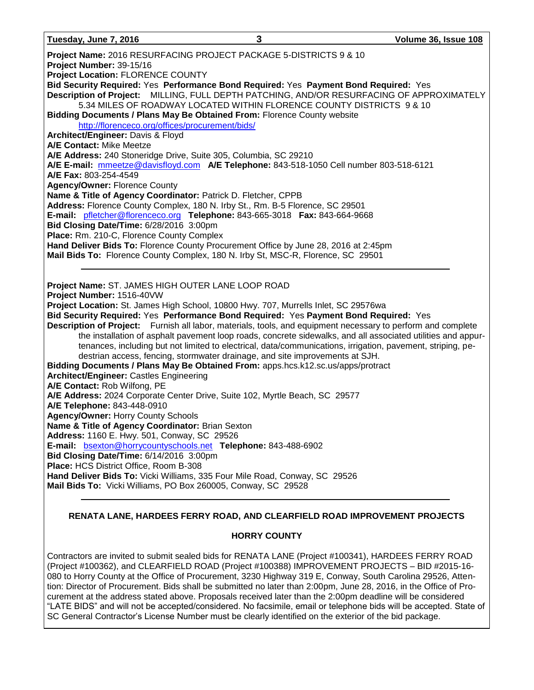**Tuesday, June 7, 2016 3 Volume 36, Issue 108**

**Project Name:** 2016 RESURFACING PROJECT PACKAGE 5-DISTRICTS 9 & 10 **Project Number:** 39-15/16 **Project Location:** FLORENCE COUNTY **Bid Security Required:** Yes **Performance Bond Required:** Yes **Payment Bond Required:** Yes **Description of Project:** MILLING, FULL DEPTH PATCHING, AND/OR RESURFACING OF APPROXIMATELY 5.34 MILES OF ROADWAY LOCATED WITHIN FLORENCE COUNTY DISTRICTS 9 & 10 **Bidding Documents / Plans May Be Obtained From:** Florence County website <http://florenceco.org/offices/procurement/bids/> **Architect/Engineer:** Davis & Floyd **A/E Contact:** Mike Meetze **A/E Address:** 240 Stoneridge Drive, Suite 305, Columbia, SC 29210 **A/E E-mail:** [mmeetze@davisfloyd.com](mailto:mmeetze@davisfloyd.com) **A/E Telephone:** 843-518-1050 Cell number 803-518-6121 **A/E Fax:** 803-254-4549 **Agency/Owner:** Florence County **Name & Title of Agency Coordinator:** Patrick D. Fletcher, CPPB **Address:** Florence County Complex, 180 N. Irby St., Rm. B-5 Florence, SC 29501 **E-mail:** [pfletcher@florenceco.org](mailto:pfletcher@florenceco.org) **Telephone:** 843-665-3018 **Fax:** 843-664-9668 **Bid Closing Date/Time:** 6/28/2016 3:00pm **Place:** Rm. 210-C, Florence County Complex **Hand Deliver Bids To:** Florence County Procurement Office by June 28, 2016 at 2:45pm **Mail Bids To:** Florence County Complex, 180 N. Irby St, MSC-R, Florence, SC 29501 **Project Name:** ST. JAMES HIGH OUTER LANE LOOP ROAD **Project Number:** 1516-40VW **Project Location:** St. James High School, 10800 Hwy. 707, Murrells Inlet, SC 29576wa **Bid Security Required:** Yes **Performance Bond Required:** Yes **Payment Bond Required:** Yes **Description of Project:** Furnish all labor, materials, tools, and equipment necessary to perform and complete the installation of asphalt pavement loop roads, concrete sidewalks, and all associated utilities and appurtenances, including but not limited to electrical, data/communications, irrigation, pavement, striping, pedestrian access, fencing, stormwater drainage, and site improvements at SJH. **Bidding Documents / Plans May Be Obtained From:** apps.hcs.k12.sc.us/apps/protract **Architect/Engineer:** Castles Engineering **A/E Contact:** Rob Wilfong, PE **A/E Address:** 2024 Corporate Center Drive, Suite 102, Myrtle Beach, SC 29577 **A/E Telephone:** 843-448-0910 **Agency/Owner:** Horry County Schools **Name & Title of Agency Coordinator:** Brian Sexton **Address:** 1160 E. Hwy. 501, Conway, SC 29526 **E-mail:** [bsexton@horrycountyschools.net](mailto:bsexton@horrycountyschools.net) **Telephone:** 843-488-6902 **Bid Closing Date/Time:** 6/14/2016 3:00pm **Place:** HCS District Office, Room B-308 **Hand Deliver Bids To:** Vicki Williams, 335 Four Mile Road, Conway, SC 29526 **Mail Bids To:** Vicki Williams, PO Box 260005, Conway, SC 29528

## **RENATA LANE, HARDEES FERRY ROAD, AND CLEARFIELD ROAD IMPROVEMENT PROJECTS**

## **HORRY COUNTY**

Contractors are invited to submit sealed bids for RENATA LANE (Project #100341), HARDEES FERRY ROAD (Project #100362), and CLEARFIELD ROAD (Project #100388) IMPROVEMENT PROJECTS – BID #2015-16- 080 to Horry County at the Office of Procurement, 3230 Highway 319 E, Conway, South Carolina 29526, Attention: Director of Procurement. Bids shall be submitted no later than 2:00pm, June 28, 2016, in the Office of Procurement at the address stated above. Proposals received later than the 2:00pm deadline will be considered "LATE BIDS" and will not be accepted/considered. No facsimile, email or telephone bids will be accepted. State of SC General Contractor's License Number must be clearly identified on the exterior of the bid package.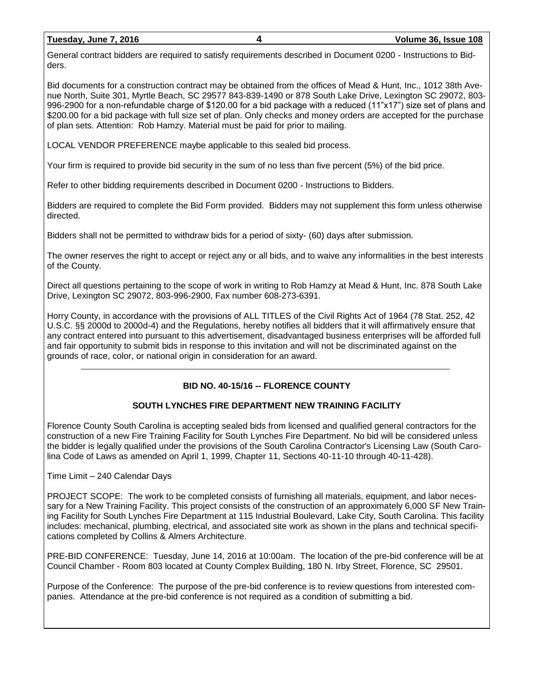|  |  |  | Tuesday, June 7, 2016 |  |
|--|--|--|-----------------------|--|
|  |  |  |                       |  |

General contract bidders are required to satisfy requirements described in Document 0200 - Instructions to Bidders.

Bid documents for a construction contract may be obtained from the offices of Mead & Hunt, Inc., 1012 38th Avenue North, Suite 301, Myrtle Beach, SC 29577 843-839-1490 or 878 South Lake Drive, Lexington SC 29072, 803- 996-2900 for a non-refundable charge of \$120.00 for a bid package with a reduced (11"x17") size set of plans and \$200.00 for a bid package with full size set of plan. Only checks and money orders are accepted for the purchase of plan sets. Attention: Rob Hamzy. Material must be paid for prior to mailing.

LOCAL VENDOR PREFERENCE maybe applicable to this sealed bid process.

Your firm is required to provide bid security in the sum of no less than five percent (5%) of the bid price.

Refer to other bidding requirements described in Document 0200 - Instructions to Bidders.

Bidders are required to complete the Bid Form provided. Bidders may not supplement this form unless otherwise directed.

Bidders shall not be permitted to withdraw bids for a period of sixty- (60) days after submission.

The owner reserves the right to accept or reject any or all bids, and to waive any informalities in the best interests of the County.

Direct all questions pertaining to the scope of work in writing to Rob Hamzy at Mead & Hunt, Inc. 878 South Lake Drive, Lexington SC 29072, 803-996-2900, Fax number 608-273-6391.

Horry County, in accordance with the provisions of ALL TITLES of the Civil Rights Act of 1964 (78 Stat. 252, 42 U.S.C. §§ 2000d to 2000d-4) and the Regulations, hereby notifies all bidders that it will affirmatively ensure that any contract entered into pursuant to this advertisement, disadvantaged business enterprises will be afforded full and fair opportunity to submit bids in response to this invitation and will not be discriminated against on the grounds of race, color, or national origin in consideration for an award.

## **BID NO. 40-15/16 -- FLORENCE COUNTY**

## **SOUTH LYNCHES FIRE DEPARTMENT NEW TRAINING FACILITY**

Florence County South Carolina is accepting sealed bids from licensed and qualified general contractors for the construction of a new Fire Training Facility for South Lynches Fire Department. No bid will be considered unless the bidder is legally qualified under the provisions of the South Carolina Contractor's Licensing Law (South Carolina Code of Laws as amended on April 1, 1999, Chapter 11, Sections 40-11-10 through 40-11-428).

Time Limit – 240 Calendar Days

PROJECT SCOPE: The work to be completed consists of furnishing all materials, equipment, and labor necessary for a New Training Facility. This project consists of the construction of an approximately 6,000 SF New Training Facility for South Lynches Fire Department at 115 Industrial Boulevard, Lake City, South Carolina. This facility includes: mechanical, plumbing, electrical, and associated site work as shown in the plans and technical specifications completed by Collins & Almers Architecture.

PRE-BID CONFERENCE: Tuesday, June 14, 2016 at 10:00am. The location of the pre-bid conference will be at Council Chamber - Room 803 located at County Complex Building, 180 N. Irby Street, Florence, SC 29501.

Purpose of the Conference: The purpose of the pre-bid conference is to review questions from interested companies. Attendance at the pre-bid conference is not required as a condition of submitting a bid.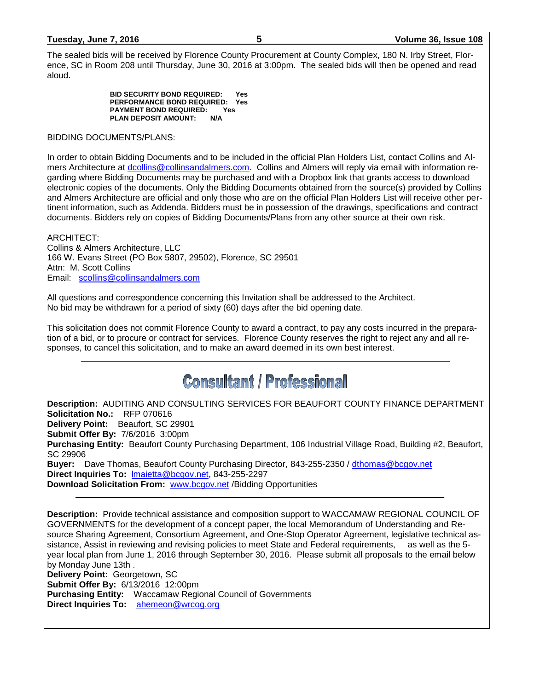| Tuesday, June 7, 2016 |  |  |  |  |
|-----------------------|--|--|--|--|
|                       |  |  |  |  |

The sealed bids will be received by Florence County Procurement at County Complex, 180 N. Irby Street, Florence, SC in Room 208 until Thursday, June 30, 2016 at 3:00pm. The sealed bids will then be opened and read aloud.

> **BID SECURITY BOND REQUIRED: Yes PERFORMANCE BOND REQUIRED: Yes PAYMENT BOND REQUIRED: Yes PLAN DEPOSIT AMOUNT:**

BIDDING DOCUMENTS/PLANS:

In order to obtain Bidding Documents and to be included in the official Plan Holders List, contact Collins and Almers Architecture at [dcollins@collinsandalmers.com.](mailto:dcollins@collinsandalmers.com) Collins and Almers will reply via email with information regarding where Bidding Documents may be purchased and with a Dropbox link that grants access to download electronic copies of the documents. Only the Bidding Documents obtained from the source(s) provided by Collins and Almers Architecture are official and only those who are on the official Plan Holders List will receive other pertinent information, such as Addenda. Bidders must be in possession of the drawings, specifications and contract documents. Bidders rely on copies of Bidding Documents/Plans from any other source at their own risk.

ARCHITECT: Collins & Almers Architecture, LLC 166 W. Evans Street (PO Box 5807, 29502), Florence, SC 29501 Attn: M. Scott Collins Email: [scollins@collinsandalmers.com](mailto:scollins@collinsandalmers.com)

All questions and correspondence concerning this Invitation shall be addressed to the Architect. No bid may be withdrawn for a period of sixty (60) days after the bid opening date.

This solicitation does not commit Florence County to award a contract, to pay any costs incurred in the preparation of a bid, or to procure or contract for services. Florence County reserves the right to reject any and all responses, to cancel this solicitation, and to make an award deemed in its own best interest.

# **Consultant / Professional**

**Description:** AUDITING AND CONSULTING SERVICES FOR BEAUFORT COUNTY FINANCE DEPARTMENT **Solicitation No.:** RFP 070616 **Delivery Point:** Beaufort, SC 29901 **Submit Offer By:** 7/6/2016 3:00pm **Purchasing Entity:** Beaufort County Purchasing Department, 106 Industrial Village Road, Building #2, Beaufort, SC 29906 **Buyer:** Dave Thomas, Beaufort County Purchasing Director, 843-255-2350 / [dthomas@bcgov.net](mailto:dthomas@bcgov.net) **Direct Inquiries To:** [lmaietta@bcgov.net,](mailto:lmaietta@bcgov.net) 843-255-2297 **Download Solicitation From: [www.bcgov.net](http://www.bcgov.net/) /Bidding Opportunities** 

**Description:** Provide technical assistance and composition support to WACCAMAW REGIONAL COUNCIL OF GOVERNMENTS for the development of a concept paper, the local Memorandum of Understanding and Resource Sharing Agreement, Consortium Agreement, and One-Stop Operator Agreement, legislative technical assistance, Assist in reviewing and revising policies to meet State and Federal requirements, as well as the 5 year local plan from June 1, 2016 through September 30, 2016. Please submit all proposals to the email below by Monday June 13th . **Delivery Point:** Georgetown, SC **Submit Offer By:** 6/13/2016 12:00pm **Purchasing Entity:** Waccamaw Regional Council of Governments **Direct Inquiries To:** [ahemeon@wrcog.org](mailto:ahemeon@wrcog.org)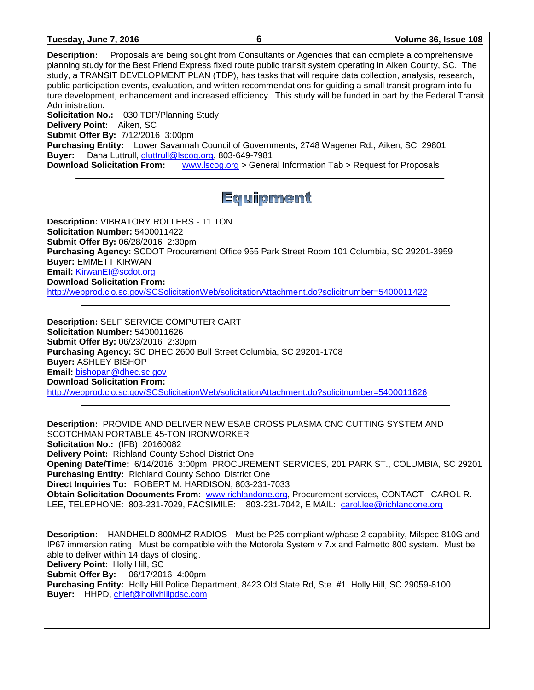|  | Tuesday, June 7, 2016 |  |  |
|--|-----------------------|--|--|
|  |                       |  |  |

**Description:** Proposals are being sought from Consultants or Agencies that can complete a comprehensive planning study for the Best Friend Express fixed route public transit system operating in Aiken County, SC. The study, a TRANSIT DEVELOPMENT PLAN (TDP), has tasks that will require data collection, analysis, research, public participation events, evaluation, and written recommendations for guiding a small transit program into future development, enhancement and increased efficiency. This study will be funded in part by the Federal Transit Administration. **Solicitation No.:** 030 TDP/Planning Study **Delivery Point:** Aiken, SC **Submit Offer By:** 7/12/2016 3:00pm **Purchasing Entity:** Lower Savannah Council of Governments, 2748 Wagener Rd., Aiken, SC 29801 **Buyer:** Dana Luttrull, [dluttrull@lscog.org,](mailto:dluttrull@lscog.org) 803-649-7981 **Download Solicitation From:** [www.lscog.org](http://www.lscog.org/) > General Information Tab > Request for Proposals Equipment **Description:** VIBRATORY ROLLERS - 11 TON **Solicitation Number:** 5400011422 **Submit Offer By:** 06/28/2016 2:30pm **Purchasing Agency:** SCDOT Procurement Office 955 Park Street Room 101 Columbia, SC 29201-3959 **Buyer:** EMMETT KIRWAN **Email:** [KirwanEI@scdot.org](mailto:KirwanEI@scdot.org) **Download Solicitation From:**  <http://webprod.cio.sc.gov/SCSolicitationWeb/solicitationAttachment.do?solicitnumber=5400011422> **Description:** SELF SERVICE COMPUTER CART **Solicitation Number:** 5400011626 **Submit Offer By:** 06/23/2016 2:30pm **Purchasing Agency:** SC DHEC 2600 Bull Street Columbia, SC 29201-1708 **Buyer:** ASHLEY BISHOP **Email:** [bishopan@dhec.sc.gov](mailto:bishopan@dhec.sc.gov) **Download Solicitation From:**  <http://webprod.cio.sc.gov/SCSolicitationWeb/solicitationAttachment.do?solicitnumber=5400011626> **Description:** PROVIDE AND DELIVER NEW ESAB CROSS PLASMA CNC CUTTING SYSTEM AND SCOTCHMAN PORTABLE 45-TON IRONWORKER **Solicitation No.:** (IFB) 20160082 **Delivery Point:** Richland County School District One **Opening Date/Time:** 6/14/2016 3:00pm PROCUREMENT SERVICES, 201 PARK ST., COLUMBIA, SC 29201 **Purchasing Entity:** Richland County School District One **Direct Inquiries To:** ROBERT M. HARDISON, 803-231-7033 **Obtain Solicitation Documents From:** [www.richlandone.org,](http://www.richlandone.org/) Procurement services, CONTACT CAROL R. LEE, TELEPHONE: 803-231-7029, FACSIMILE: 803-231-7042, E MAIL: [carol.lee@richlandone.org](mailto:carol.lee@richlandone.org) **Description:** HANDHELD 800MHZ RADIOS - Must be P25 compliant w/phase 2 capability, Milspec 810G and IP67 immersion rating. Must be compatible with the Motorola System v 7.x and Palmetto 800 system. Must be able to deliver within 14 days of closing. **Delivery Point:** Holly Hill, SC **Submit Offer By:** 06/17/2016 4:00pm **Purchasing Entity:** Holly Hill Police Department, 8423 Old State Rd, Ste. #1 Holly Hill, SC 29059-8100 **Buyer:** HHPD, [chief@hollyhillpdsc.com](mailto:chief@hollyhillpdsc.com)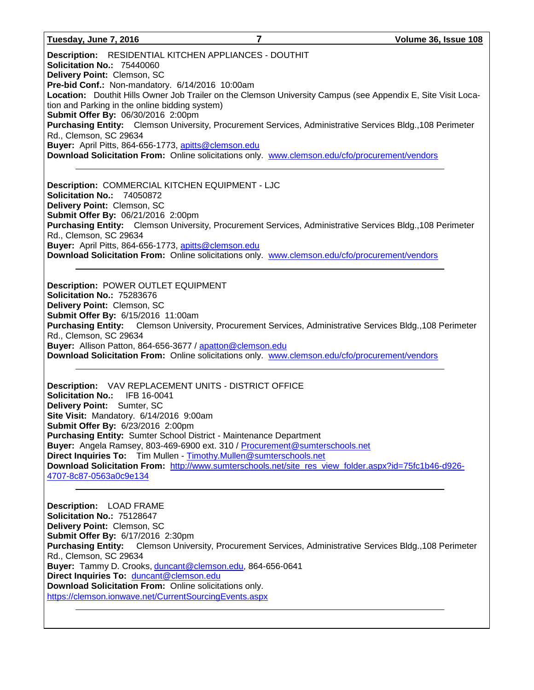### **Tuesday, June 7, 2016 7 Volume 36, Issue 108**

**Description:** RESIDENTIAL KITCHEN APPLIANCES - DOUTHIT **Solicitation No.:** 75440060 **Delivery Point:** Clemson, SC **Pre-bid Conf.:** Non-mandatory. 6/14/2016 10:00am **Location:** Douthit Hills Owner Job Trailer on the Clemson University Campus (see Appendix E, Site Visit Location and Parking in the online bidding system) **Submit Offer By:** 06/30/2016 2:00pm **Purchasing Entity:** Clemson University, Procurement Services, Administrative Services Bldg.,108 Perimeter Rd., Clemson, SC 29634 **Buyer:** April Pitts, 864-656-1773, [apitts@clemson.edu](mailto:apitts@clemson.edu) **Download Solicitation From:** Online solicitations only. [www.clemson.edu/cfo/procurement/vendors](http://www.clemson.edu/cfo/procurement/vendors)

**Description:** COMMERCIAL KITCHEN EQUIPMENT - LJC **Solicitation No.:** 74050872 **Delivery Point:** Clemson, SC **Submit Offer By:** 06/21/2016 2:00pm **Purchasing Entity:** Clemson University, Procurement Services, Administrative Services Bldg.,108 Perimeter Rd., Clemson, SC 29634 **Buyer:** April Pitts, 864-656-1773, [apitts@clemson.edu](mailto:apitts@clemson.edu) **Download Solicitation From:** Online solicitations only. [www.clemson.edu/cfo/procurement/vendors](http://www.clemson.edu/cfo/procurement/vendors)

**Description:** POWER OUTLET EQUIPMENT **Solicitation No.:** 75283676 **Delivery Point:** Clemson, SC **Submit Offer By:** 6/15/2016 11:00am **Purchasing Entity:** Clemson University, Procurement Services, Administrative Services Bldg.,108 Perimeter Rd., Clemson, SC 29634 **Buyer:** Allison Patton, 864-656-3677 / [apatton@clemson.edu](mailto:apatton@clemson.edu) **Download Solicitation From:** Online solicitations only. [www.clemson.edu/cfo/procurement/vendors](http://www.clemson.edu/cfo/procurement/vendors)

**Description:** VAV REPLACEMENT UNITS - DISTRICT OFFICE **Solicitation No.:** IFB 16-0041 **Delivery Point:** Sumter, SC **Site Visit:** Mandatory. 6/14/2016 9:00am **Submit Offer By:** 6/23/2016 2:00pm **Purchasing Entity:** Sumter School District - Maintenance Department **Buyer:** Angela Ramsey, 803-469-6900 ext. 310 / [Procurement@sumterschools.net](mailto:Procurement@sumterschools.net) **Direct Inquiries To:** Tim Mullen - [Timothy.Mullen@sumterschools.net](mailto:Timothy.Mullen@sumterschools.net) **Download Solicitation From:** [http://www.sumterschools.net/site\\_res\\_view\\_folder.aspx?id=75fc1b46-d926-](http://www.sumterschools.net/site_res_view_folder.aspx?id=75fc1b46-d926-4707-8c87-0563a0c9e134) [4707-8c87-0563a0c9e134](http://www.sumterschools.net/site_res_view_folder.aspx?id=75fc1b46-d926-4707-8c87-0563a0c9e134)

**Description:** LOAD FRAME **Solicitation No.:** 75128647 **Delivery Point:** Clemson, SC **Submit Offer By:** 6/17/2016 2:30pm **Purchasing Entity:** Clemson University, Procurement Services, Administrative Services Bldg.,108 Perimeter Rd., Clemson, SC 29634 **Buyer:** Tammy D. Crooks, [duncant@clemson.edu,](mailto:duncant@clemson.edu) 864-656-0641 **Direct Inquiries To:** [duncant@clemson.edu](mailto:duncant@clemson.edu) **Download Solicitation From:** Online solicitations only. <https://clemson.ionwave.net/CurrentSourcingEvents.aspx>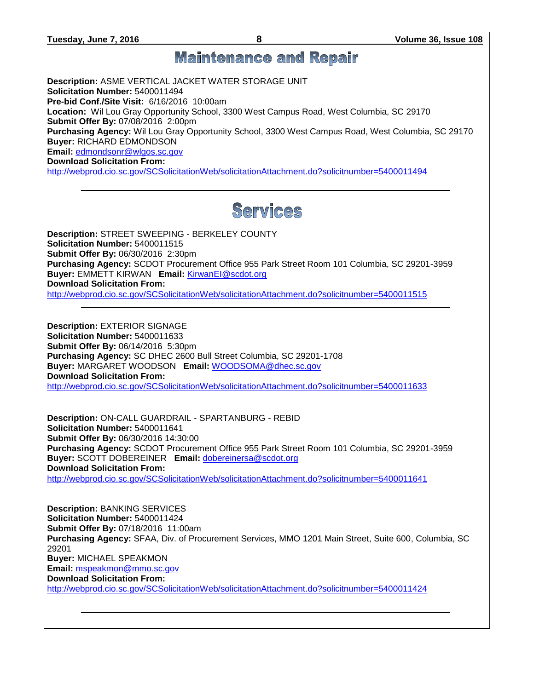**Tuesday, June 7, 2016 8 Volume 36, Issue 108**

## **Maintenance and Repair**

**Description:** ASME VERTICAL JACKET WATER STORAGE UNIT **Solicitation Number:** 5400011494 **Pre-bid Conf./Site Visit:** 6/16/2016 10:00am **Location:** Wil Lou Gray Opportunity School, 3300 West Campus Road, West Columbia, SC 29170 **Submit Offer By:** 07/08/2016 2:00pm **Purchasing Agency:** Wil Lou Gray Opportunity School, 3300 West Campus Road, West Columbia, SC 29170 **Buyer:** RICHARD EDMONDSON **Email:** [edmondsonr@wlgos.sc.gov](mailto:edmondsonr@wlgos.sc.gov)

**Download Solicitation From:** 

<http://webprod.cio.sc.gov/SCSolicitationWeb/solicitationAttachment.do?solicitnumber=5400011494>



**Description:** STREET SWEEPING - BERKELEY COUNTY **Solicitation Number:** 5400011515 **Submit Offer By:** 06/30/2016 2:30pm **Purchasing Agency:** SCDOT Procurement Office 955 Park Street Room 101 Columbia, SC 29201-3959 **Buyer:** EMMETT KIRWAN **Email:** [KirwanEI@scdot.org](mailto:KirwanEI@scdot.org) **Download Solicitation From:**  <http://webprod.cio.sc.gov/SCSolicitationWeb/solicitationAttachment.do?solicitnumber=5400011515>

**Description:** EXTERIOR SIGNAGE **Solicitation Number:** 5400011633 **Submit Offer By:** 06/14/2016 5:30pm **Purchasing Agency:** SC DHEC 2600 Bull Street Columbia, SC 29201-1708 **Buyer:** MARGARET WOODSON **Email:** [WOODSOMA@dhec.sc.gov](mailto:WOODSOMA@dhec.sc.gov) **Download Solicitation From:**  <http://webprod.cio.sc.gov/SCSolicitationWeb/solicitationAttachment.do?solicitnumber=5400011633>

**Description:** ON-CALL GUARDRAIL - SPARTANBURG - REBID **Solicitation Number:** 5400011641 **Submit Offer By:** 06/30/2016 14:30:00 **Purchasing Agency:** SCDOT Procurement Office 955 Park Street Room 101 Columbia, SC 29201-3959 **Buyer:** SCOTT DOBEREINER **Email:** [dobereinersa@scdot.org](mailto:dobereinersa@scdot.org) **Download Solicitation From:**  <http://webprod.cio.sc.gov/SCSolicitationWeb/solicitationAttachment.do?solicitnumber=5400011641>

**Description:** BANKING SERVICES **Solicitation Number:** 5400011424 **Submit Offer By:** 07/18/2016 11:00am **Purchasing Agency:** SFAA, Div. of Procurement Services, MMO 1201 Main Street, Suite 600, Columbia, SC 29201 **Buyer:** MICHAEL SPEAKMON **Email:** [mspeakmon@mmo.sc.gov](mailto:mspeakmon@mmo.sc.gov) **Download Solicitation From:**  <http://webprod.cio.sc.gov/SCSolicitationWeb/solicitationAttachment.do?solicitnumber=5400011424>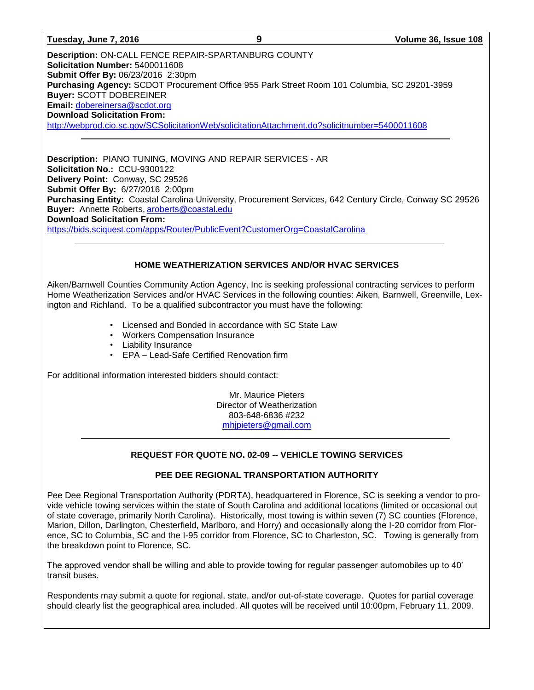**Description:** ON-CALL FENCE REPAIR-SPARTANBURG COUNTY **Solicitation Number:** 5400011608 **Submit Offer By:** 06/23/2016 2:30pm **Purchasing Agency:** SCDOT Procurement Office 955 Park Street Room 101 Columbia, SC 29201-3959 **Buyer:** SCOTT DOBEREINER **Email:** [dobereinersa@scdot.org](mailto:dobereinersa@scdot.org) **Download Solicitation From:**  <http://webprod.cio.sc.gov/SCSolicitationWeb/solicitationAttachment.do?solicitnumber=5400011608>

**Description:** PIANO TUNING, MOVING AND REPAIR SERVICES - AR **Solicitation No.:** CCU-9300122 **Delivery Point:** Conway, SC 29526 **Submit Offer By:** 6/27/2016 2:00pm **Purchasing Entity:** Coastal Carolina University, Procurement Services, 642 Century Circle, Conway SC 29526 **Buyer:** Annette Roberts, [aroberts@coastal.edu](mailto:aroberts@coastal.edu) **Download Solicitation From:** <https://bids.sciquest.com/apps/Router/PublicEvent?CustomerOrg=CoastalCarolina>

## **HOME WEATHERIZATION SERVICES AND/OR HVAC SERVICES**

Aiken/Barnwell Counties Community Action Agency, Inc is seeking professional contracting services to perform Home Weatherization Services and/or HVAC Services in the following counties: Aiken, Barnwell, Greenville, Lexington and Richland. To be a qualified subcontractor you must have the following:

- Licensed and Bonded in accordance with SC State Law
- Workers Compensation Insurance
- Liability Insurance
- EPA Lead-Safe Certified Renovation firm

For additional information interested bidders should contact:

Mr. Maurice Pieters Director of Weatherization 803-648-6836 #232 [mhjpieters@gmail.com](mailto:mhjpieters@gmail.com)

## **REQUEST FOR QUOTE NO. 02-09 -- VEHICLE TOWING SERVICES**

## **PEE DEE REGIONAL TRANSPORTATION AUTHORITY**

Pee Dee Regional Transportation Authority (PDRTA), headquartered in Florence, SC is seeking a vendor to provide vehicle towing services within the state of South Carolina and additional locations (limited or occasional out of state coverage, primarily North Carolina). Historically, most towing is within seven (7) SC counties (Florence, Marion, Dillon, Darlington, Chesterfield, Marlboro, and Horry) and occasionally along the I-20 corridor from Florence, SC to Columbia, SC and the I-95 corridor from Florence, SC to Charleston, SC. Towing is generally from the breakdown point to Florence, SC.

The approved vendor shall be willing and able to provide towing for regular passenger automobiles up to 40' transit buses.

Respondents may submit a quote for regional, state, and/or out-of-state coverage. Quotes for partial coverage should clearly list the geographical area included. All quotes will be received until 10:00pm, February 11, 2009.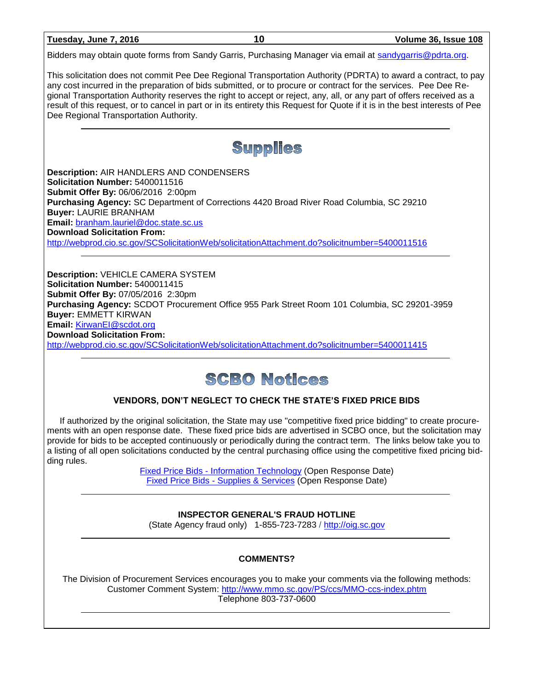| Tuesday, June 7, 2016 |  |  |
|-----------------------|--|--|
|                       |  |  |

Bidders may obtain quote forms from Sandy Garris, Purchasing Manager via email at [sandygarris@pdrta.org.](mailto:sandygarris@pdrta.org)

This solicitation does not commit Pee Dee Regional Transportation Authority (PDRTA) to award a contract, to pay any cost incurred in the preparation of bids submitted, or to procure or contract for the services. Pee Dee Regional Transportation Authority reserves the right to accept or reject, any, all, or any part of offers received as a result of this request, or to cancel in part or in its entirety this Request for Quote if it is in the best interests of Pee Dee Regional Transportation Authority.



**Description:** AIR HANDLERS AND CONDENSERS **Solicitation Number:** 5400011516 **Submit Offer By:** 06/06/2016 2:00pm **Purchasing Agency:** SC Department of Corrections 4420 Broad River Road Columbia, SC 29210 **Buyer:** LAURIE BRANHAM **Email:** [branham.lauriel@doc.state.sc.us](mailto:branham.lauriel@doc.state.sc.us) **Download Solicitation From:**  <http://webprod.cio.sc.gov/SCSolicitationWeb/solicitationAttachment.do?solicitnumber=5400011516>

**Description:** VEHICLE CAMERA SYSTEM **Solicitation Number:** 5400011415 **Submit Offer By:** 07/05/2016 2:30pm **Purchasing Agency:** SCDOT Procurement Office 955 Park Street Room 101 Columbia, SC 29201-3959 **Buyer:** EMMETT KIRWAN **Email:** [KirwanEI@scdot.org](mailto:KirwanEI@scdot.org) **Download Solicitation From:**  <http://webprod.cio.sc.gov/SCSolicitationWeb/solicitationAttachment.do?solicitnumber=5400011415>

## **SCBO Notices**

## **VENDORS, DON'T NEGLECT TO CHECK THE STATE'S FIXED PRICE BIDS**

If authorized by the original solicitation, the State may use "competitive fixed price bidding" to create procurements with an open response date. These fixed price bids are advertised in SCBO once, but the solicitation may provide for bids to be accepted continuously or periodically during the contract term. The links below take you to a listing of all open solicitations conducted by the central purchasing office using the competitive fixed pricing bidding rules.

> Fixed Price Bids - [Information Technology](http://www.mmo.sc.gov/PS/vendor/PS-vendor-fixed-price-bids-it.phtm) (Open Response Date) Fixed Price Bids - [Supplies & Services](http://www.mmo.sc.gov/PS/vendor/PS-vendor-fixed-price-bids-ss.phtm) (Open Response Date)

## **INSPECTOR GENERAL'S FRAUD HOTLINE**

(State Agency fraud only) 1-855-723-7283 / [http://oig.sc.gov](http://oig.sc.gov/)

## **COMMENTS?**

The Division of Procurement Services encourages you to make your comments via the following methods: Customer Comment System:<http://www.mmo.sc.gov/PS/ccs/MMO-ccs-index.phtm> Telephone 803-737-0600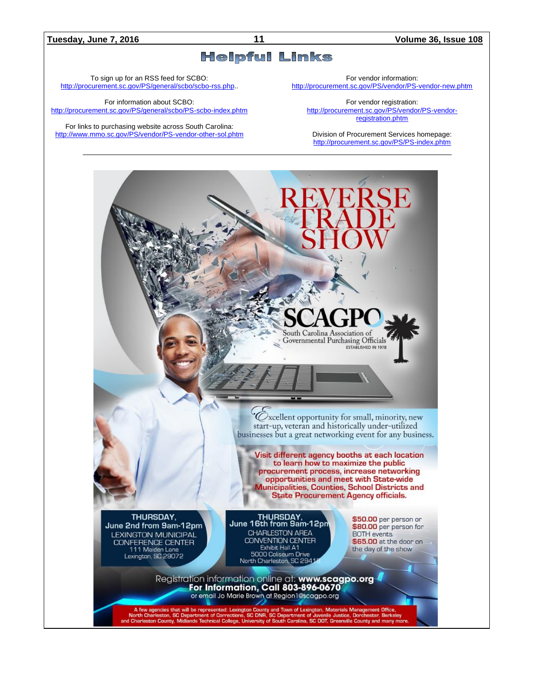### **Tuesday, June 7, 2016 11 Volume 36, Issue 108**

## **Helpful Links**

To sign up for an RSS feed for SCBO: [http://procurement.sc.gov/PS/general/scbo/scbo-rss.php.](http://procurement.sc.gov/PS/general/scbo/scbo-rss.php).

For information about SCBO: <http://procurement.sc.gov/PS/general/scbo/PS-scbo-index.phtm>

For links to purchasing website across South Carolina: <http://www.mmo.sc.gov/PS/vendor/PS-vendor-other-sol.phtm> For vendor information:

<http://procurement.sc.gov/PS/vendor/PS-vendor-new.phtm>

For vendor registration: [http://procurement.sc.gov/PS/vendor/PS-vendor](http://procurement.sc.gov/PS/vendor/PS-vendor-registration.phtm)[registration.phtm](http://procurement.sc.gov/PS/vendor/PS-vendor-registration.phtm)

Division of Procurement Services homepage: <http://procurement.sc.gov/PS/PS-index.phtm>